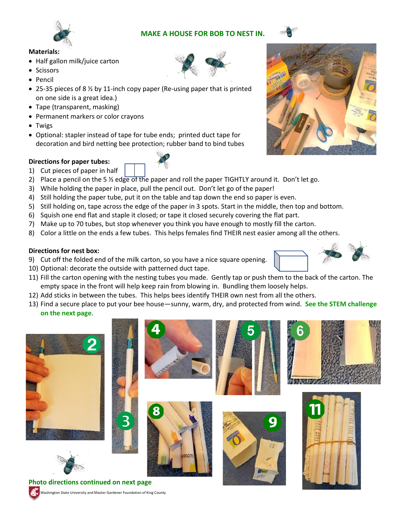# **MAKE A HOUSE FOR BOB TO NEST IN.**





#### **Materials:**

- Half gallon milk/juice carton
- Scissors
- Pencil
- 25-35 pieces of 8 ½ by 11-inch copy paper (Re-using paper that is printed on one side is a great idea.)
- Tape (transparent, masking)
- Permanent markers or color crayons
- Twigs
- Optional: stapler instead of tape for tube ends; printed duct tape for decoration and bird netting bee protection; rubber band to bind tubes

#### **Directions for paper tubes:**

- 1) Cut pieces of paper in half
- 2) Place a pencil on the 5  $\frac{1}{2}$  edge of the paper and roll the paper TIGHTLY around it. Don't let go.
- 3) While holding the paper in place, pull the pencil out. Don't let go of the paper!
- 4) Still holding the paper tube, put it on the table and tap down the end so paper is even.
- 5) Still holding on, tape across the edge of the paper in 3 spots. Start in the middle, then top and bottom.
- 6) Squish one end flat and staple it closed; or tape it closed securely covering the flat part.
- 7) Make up to 70 tubes, but stop whenever you think you have enough to mostly fill the carton.
- 8) Color a little on the ends a few tubes. This helps females find THEIR nest easier among all the others.

### **Directions for nest box:**

- 9) Cut off the folded end of the milk carton, so you have a nice square opening.
- 10) Optional: decorate the outside with patterned duct tape.

Washington State University and Master Gardener Foundation of King County

- 11) Fill the carton opening with the nesting tubes you made. Gently tap or push them to the back of the carton. The empty space in the front will help keep rain from blowing in. Bundling them loosely helps.
- 12) Add sticks in between the tubes. This helps bees identify THEIR own nest from all the others.
- 13) Find a secure place to put your bee house—sunny, warm, dry, and protected from wind. **See the STEM challenge on the next page**.